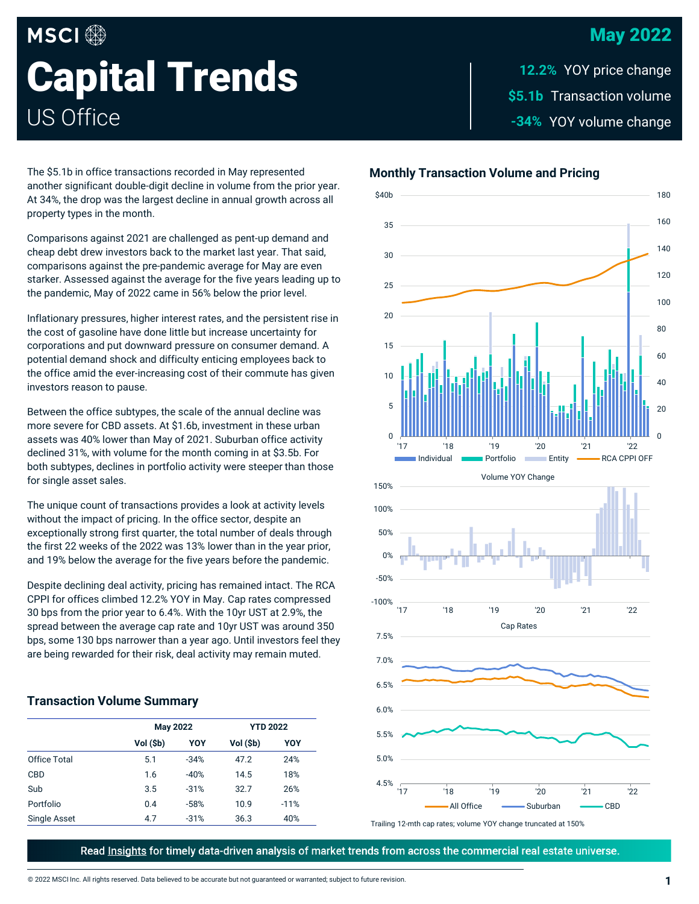## May 2022

# **MSCI Capital Trends** US Office

\$5.1b Transaction volume -34% YOY volume change **12.2%**

The \$5.1b in office transactions recorded in May represented another significant double-digit decline in volume from the prior year. At 34%, the drop was the largest decline in annual growth across all property types in the month.

Comparisons against 2021 are challenged as pent-up demand and cheap debt drew investors back to the market last year. That said, comparisons against the pre-pandemic average for May are even starker. Assessed against the average for the five years leading up to the pandemic, May of 2022 came in 56% below the prior level.

Inflationary pressures, higher interest rates, and the persistent rise in the cost of gasoline have done little but increase uncertainty for corporations and put downward pressure on consumer demand. A potential demand shock and difficulty enticing employees back to the office amid the ever-increasing cost of their commute has given investors reason to pause.

Between the office subtypes, the scale of the annual decline was more severe for CBD assets. At \$1.6b, investment in these urban assets was 40% lower than May of 2021. Suburban office activity declined 31%, with volume for the month coming in at \$3.5b. For both subtypes, declines in portfolio activity were steeper than those for single asset sales.

The unique count of transactions provides a look at activity levels without the impact of pricing. In the office sector, despite an exceptionally strong first quarter, the total number of deals through the first 22 weeks of the 2022 was 13% lower than in the year prior, and 19% below the average for the five years before the pandemic.

Despite declining deal activity, pricing has remained intact. The RCA CPPI for offices climbed 12.2% YOY in May. Cap rates compressed 30 bps from the prior year to 6.4%. With the 10yr UST at 2.9%, the spread between the average cap rate and 10yr UST was around 350 bps, some 130 bps narrower than a year ago. Until investors feel they are being rewarded for their risk, deal activity may remain muted.

## **Transaction Volume Summary**

|                     | <b>May 2022</b> |        | <b>YTD 2022</b> |        |
|---------------------|-----------------|--------|-----------------|--------|
|                     | Vol (\$b)       | YOY    | Vol (\$b)       | YOY    |
| <b>Office Total</b> | 5.1             | $-34%$ | 47.2            | 24%    |
| <b>CBD</b>          | 1.6             | $-40%$ | 14.5            | 18%    |
| Sub                 | 3.5             | $-31%$ | 32.7            | 26%    |
| Portfolio           | 0.4             | $-58%$ | 10.9            | $-11%$ |
| Single Asset        | 4.7             | $-31%$ | 36.3            | 40%    |

## **Monthly Transaction Volume and Pricing**



Trailing 12-mth cap rates; volume YOY change truncated at 150%

Read Insights for timely data-driven analysis of market trends from across the commercial real estate universe.